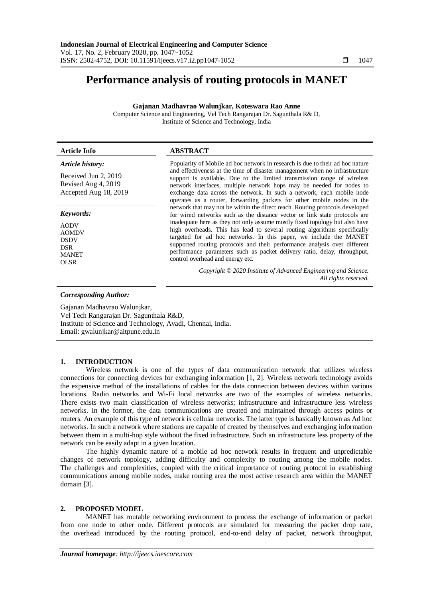# **Performance analysis of routing protocols in MANET**

**Gajanan Madhavrao Walunjkar, Koteswara Rao Anne**

Computer Science and Engineering, Vel Tech Rangarajan Dr. Sagunthala R& D, Institute of Science and Technology, India

| <b>Article Info</b>                                                                     | <b>ABSTRACT</b>                                                                                                                                                                                                                                                                                                                                                                                                           |  |  |  |  |  |
|-----------------------------------------------------------------------------------------|---------------------------------------------------------------------------------------------------------------------------------------------------------------------------------------------------------------------------------------------------------------------------------------------------------------------------------------------------------------------------------------------------------------------------|--|--|--|--|--|
| Article history:                                                                        | Popularity of Mobile ad hoc network in research is due to their ad hoc nature                                                                                                                                                                                                                                                                                                                                             |  |  |  |  |  |
| Received Jun 2, 2019<br>Revised Aug 4, 2019<br>Accepted Aug 18, 2019                    | and effectiveness at the time of disaster management when no infrastructure<br>support is available. Due to the limited transmission range of wireless<br>network interfaces, multiple network hops may be needed for nodes to<br>exchange data across the network. In such a network, each mobile node<br>operates as a router, forwarding packets for other mobile nodes in the                                         |  |  |  |  |  |
| Keywords:                                                                               | network that may not be within the direct reach. Routing protocols developed<br>for wired networks such as the distance vector or link state protocols are                                                                                                                                                                                                                                                                |  |  |  |  |  |
| <b>AODV</b><br><b>AOMDV</b><br><b>DSDV</b><br><b>DSR</b><br><b>MANET</b><br><b>OLSR</b> | inadequate here as they not only assume mostly fixed topology but also have<br>high overheads. This has lead to several routing algorithms specifically<br>targeted for ad hoc networks. In this paper, we include the MANET<br>supported routing protocols and their performance analysis over different<br>performance parameters such as packet delivery ratio, delay, throughput,<br>control overhead and energy etc. |  |  |  |  |  |
|                                                                                         | Copyright © 2020 Institute of Advanced Engineering and Science.<br>All rights reserved.                                                                                                                                                                                                                                                                                                                                   |  |  |  |  |  |
| <b>Corresponding Author:</b>                                                            |                                                                                                                                                                                                                                                                                                                                                                                                                           |  |  |  |  |  |

Gajanan Madhavrao Walunjkar, Vel Tech Rangarajan Dr. Sagunthala R&D, Institute of Science and Technology, Avadi, Chennai, India. Email: gwalunjkar@aitpune.edu.in

## **1. INTRODUCTION**

Wireless network is one of the types of data communication network that utilizes wireless connections for connecting devices for exchanging information [1, 2]. Wireless network technology avoids the expensive method of the installations of cables for the data connection between devices within various locations. Radio networks and Wi-Fi local networks are two of the examples of wireless networks. There exists two main classification of wireless networks; infrastructure and infrastructure less wireless networks. In the former, the data communications are created and maintained through access points or routers. An example of this type of network is cellular networks. The latter type is basically known as Ad hoc networks. In such a network where stations are capable of created by themselves and exchanging information between them in a multi-hop style without the fixed infrastructure. Such an infrastructure less property of the network can be easily adapt in a given location.

The highly dynamic nature of a mobile ad hoc network results in frequent and unpredictable changes of network topology, adding difficulty and complexity to routing among the mobile nodes. The challenges and complexities, coupled with the critical importance of routing protocol in establishing communications among mobile nodes, make routing area the most active research area within the MANET domain [3].

### **2. PROPOSED MODEL**

MANET has routable networking environment to process the exchange of information or packet from one node to other node. Different protocols are simulated for measuring the packet drop rate, the overhead introduced by the routing protocol, end-to-end delay of packet, network throughput,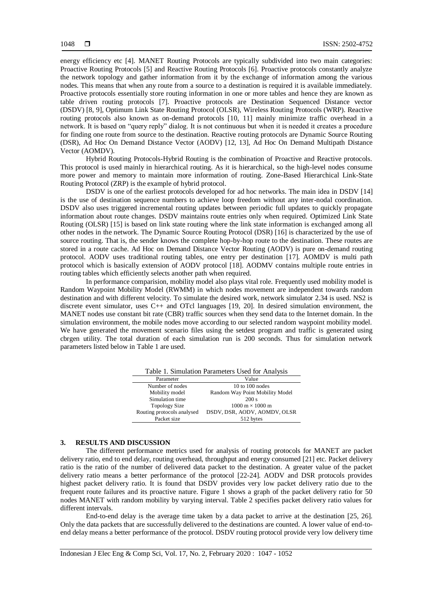energy efficiency etc [4]. MANET Routing Protocols are typically subdivided into two main categories: Proactive Routing Protocols [5] and Reactive Routing Protocols [6]. Proactive protocols constantly analyze the network topology and gather information from it by the exchange of information among the various nodes. This means that when any route from a source to a destination is required it is available immediately. Proactive protocols essentially store routing information in one or more tables and hence they are known as table driven routing protocols [7]. Proactive protocols are Destination Sequenced Distance vector (DSDV) [8, 9], Optimum Link State Routing Protocol (OLSR), Wireless Routing Protocols (WRP). Reactive routing protocols also known as on-demand protocols [10, 11] mainly minimize traffic overhead in a network. It is based on "query reply" dialog. It is not continuous but when it is needed it creates a procedure for finding one route from source to the destination. Reactive routing protocols are Dynamic Source Routing (DSR), Ad Hoc On Demand Distance Vector (AODV) [12, 13], Ad Hoc On Demand Multipath Distance Vector (AOMDV).

Hybrid Routing Protocols-Hybrid Routing is the combination of Proactive and Reactive protocols. This protocol is used mainly in hierarchical routing. As it is hierarchical, so the high-level nodes consume more power and memory to maintain more information of routing. Zone-Based Hierarchical Link-State Routing Protocol (ZRP) is the example of hybrid protocol.

DSDV is one of the earliest protocols developed for ad hoc networks. The main idea in DSDV [14] is the use of destination sequence numbers to achieve loop freedom without any inter-nodal coordination. DSDV also uses triggered incremental routing updates between periodic full updates to quickly propagate information about route changes. DSDV maintains route entries only when required. Optimized Link State Routing (OLSR) [15] is based on link state routing where the link state information is exchanged among all other nodes in the network. The Dynamic Source Routing Protocol (DSR) [16] is characterized by the use of source routing. That is, the sender knows the complete hop-by-hop route to the destination. These routes are stored in a route cache. Ad Hoc on Demand Distance Vector Routing (AODV) is pure on-demand routing protocol. AODV uses traditional routing tables, one entry per destination [17]. AOMDV is multi path protocol which is basically extension of AODV protocol [18]. AODMV contains multiple route entries in routing tables which efficiently selects another path when required.

In performance comparision, mobility model also plays vital role. Frequently used mobility model is Random Waypoint Mobility Model (RWMM) in which nodes movement are independent towards random destination and with different velocity. To simulate the desired work, network simulator 2.34 is used. NS2 is discrete event simulator, uses C++ and OTcl languages [19, 20]. In desired simulation environment, the MANET nodes use constant bit rate (CBR) traffic sources when they send data to the Internet domain. In the simulation environment, the mobile nodes move according to our selected random waypoint mobility model. We have generated the movement scenario files using the setdest program and traffic is generated using cbrgen utility. The total duration of each simulation run is 200 seconds. Thus for simulation network parameters listed below in Table 1 are used.

|                            | Table 1. Billiamon I alameters Osca for Amarysis |
|----------------------------|--------------------------------------------------|
| Parameter                  | Value                                            |
| Number of nodes            | 10 to $100$ nodes                                |
| Mobility model             | Random Way Point Mobility Model                  |
| Simulation time            | 200 s                                            |
| <b>Topology Size</b>       | $1000 \text{ m} \times 1000 \text{ m}$           |
| Routing protocols analysed | DSDV, DSR, AODV, AOMDV, OLSR                     |
| Packet size                | 512 bytes                                        |

Table 1. Simulation Parameters Used for Analysis

### **3. RESULTS AND DISCUSSION**

The different performance metrics used for analysis of routing protocols for MANET are packet delivery ratio, end to end delay, routing overhead, throughput and energy consumed [21] etc. Packet delivery ratio is the ratio of the number of delivered data packet to the destination. A greater value of the packet delivery ratio means a better performance of the protocol [22-24]. AODV and DSR protocols provides highest packet delivery ratio. It is found that DSDV provides very low packet delivery ratio due to the frequent route failures and its proactive nature. Figure 1 shows a graph of the packet delivery ratio for 50 nodes MANET with random mobility by varying interval. Table 2 specifies packet delivery ratio values for different intervals.

End-to-end delay is the average time taken by a data packet to arrive at the destination [25, 26]. Only the data packets that are successfully delivered to the destinations are counted. A lower value of end-toend delay means a better performance of the protocol. DSDV routing protocol provide very low delivery time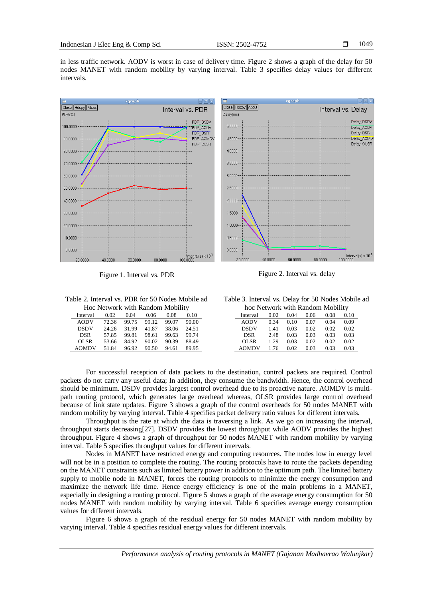in less traffic network. AODV is worst in case of delivery time. Figure 2 shows a graph of the delay for 50 nodes MANET with random mobility by varying interval. Table 3 specifies delay values for different intervals.





Table 2. Interval vs. PDR for 50 Nodes Mobile ad

| Hoc Network with Random Mobility |       |       |       |       |       |  |  |
|----------------------------------|-------|-------|-------|-------|-------|--|--|
| Interval                         | 0.02  | 0.04  | 0.06  | 0.08  | 0.10  |  |  |
| <b>AODV</b>                      | 72.36 | 99.75 | 99.12 | 99.07 | 90.00 |  |  |
| <b>DSDV</b>                      | 24.26 | 31.99 | 41.87 | 38.06 | 24.51 |  |  |
| <b>DSR</b>                       | 57.85 | 99.81 | 98.61 | 99.63 | 99.74 |  |  |
| OLSR                             | 53.66 | 84.92 | 90.02 | 90.39 | 88.49 |  |  |
| <b>AOMDV</b>                     | 51.84 | 96.92 | 90.50 | 94.61 | 89.95 |  |  |

Table 3. Interval vs. Delay for 50 Nodes Mobile ad

| hoc Network with Random Mobility |      |      |      |      |      |  |  |  |
|----------------------------------|------|------|------|------|------|--|--|--|
| Interval                         | 0.02 | 0.04 | 0.06 | 0.08 | 0.10 |  |  |  |
| <b>AODV</b>                      | 0.34 | 0.10 | 0.07 | 0.04 | 0.09 |  |  |  |
| <b>DSDV</b>                      | 1.41 | 0.03 | 0.02 | 0.02 | 0.02 |  |  |  |
| <b>DSR</b>                       | 2.48 | 0.03 | 0.03 | 0.03 | 0.03 |  |  |  |
| OLSR                             | 1.29 | 0.03 | 0.02 | 0.02 | 0.02 |  |  |  |
| <b>AOMDV</b>                     | 1.76 | 0.02 | 0.03 | 0.03 | 0.03 |  |  |  |

For successful reception of data packets to the destination, control packets are required. Control packets do not carry any useful data; In addition, they consume the bandwidth. Hence, the control overhead should be minimum. DSDV provides largest control overhead due to its proactive nature. AOMDV is multipath routing protocol, which generates large overhead whereas, OLSR provides large control overhead because of link state updates. Figure 3 shows a graph of the control overheads for 50 nodes MANET with random mobility by varying interval. Table 4 specifies packet delivery ratio values for different intervals.

Throughput is the rate at which the data is traversing a link. As we go on increasing the interval, throughput starts decreasing[27]. DSDV provides the lowest throughput while AODV provides the highest throughput. Figure 4 shows a graph of throughput for 50 nodes MANET with random mobility by varying interval. Table 5 specifies throughput values for different intervals.

Nodes in MANET have restricted energy and computing resources. The nodes low in energy level will not be in a position to complete the routing. The routing protocols have to route the packets depending on the MANET constraints such as limited battery power in addition to the optimum path. The limited battery supply to mobile node in MANET, forces the routing protocols to minimize the energy consumption and maximize the network life time. Hence energy efficiency is one of the main problems in a MANET, especially in designing a routing protocol. Figure 5 shows a graph of the average energy consumption for 50 nodes MANET with random mobility by varying interval. Table 6 specifies average energy consumption values for different intervals.

Figure 6 shows a graph of the residual energy for 50 nodes MANET with random mobility by varying interval. Table 4 specifies residual energy values for different intervals.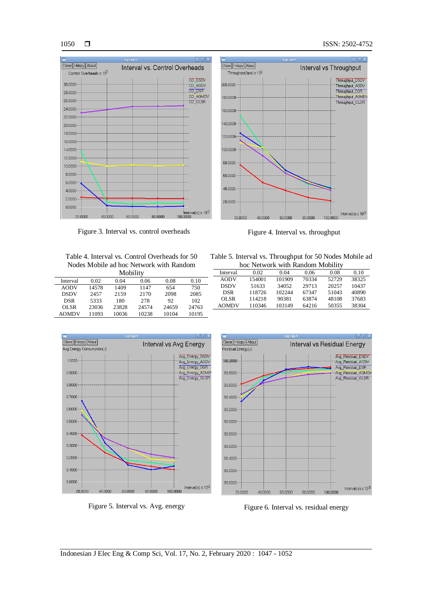#### 1050



Figure 3. Interval vs. control overheads Figure 4. Interval vs. throughput



Table 4. Interval vs. Control Overheads for 50 Nodes Mobile ad hoc Network with Random

| Mobility     |       |       |       |       |       |  |  |
|--------------|-------|-------|-------|-------|-------|--|--|
| Interval     | 0.02  | 0.04  | 0.06  | 0.08  | 0.10  |  |  |
| <b>AODV</b>  | 14578 | 1409  | 1147  | 654   | 750   |  |  |
| <b>DSDV</b>  | 2457  | 2159  | 2170  | 2098  | 2085  |  |  |
| <b>DSR</b>   | 5333  | 180   | 278   | 92    | 102   |  |  |
| OL SR        | 23036 | 23828 | 24574 | 24659 | 24763 |  |  |
| <b>AOMDV</b> | 11093 | 10036 | 10238 | 10104 | 10195 |  |  |

| Table 5. Interval vs. Throughput for 50 Nodes Mobile ad |  |
|---------------------------------------------------------|--|
| hoc Network with Random Mobility                        |  |

| <u>HOC TYCLWOLK WILLI INAHUOHI IVIODHILY</u> |        |        |       |       |       |  |  |  |
|----------------------------------------------|--------|--------|-------|-------|-------|--|--|--|
| Interval                                     | 0.02   | 0.04   | 0.06  | 0.08  | 0.10  |  |  |  |
| <b>AODV</b>                                  | 154001 | 101909 | 70334 | 52729 | 38325 |  |  |  |
| <b>DSDV</b>                                  | 51633  | 34052  | 29713 | 20257 | 10437 |  |  |  |
| <b>DSR</b>                                   | 118726 | 102244 | 67347 | 51043 | 40890 |  |  |  |
| OL SR                                        | 114218 | 90381  | 63874 | 48108 | 37683 |  |  |  |
| <b>AOMDV</b>                                 | 110346 | 103149 | 64216 | 50355 | 38304 |  |  |  |
|                                              |        |        |       |       |       |  |  |  |



Figure 5. Interval vs. Avg. energy Figure 6. Interval vs. residual energy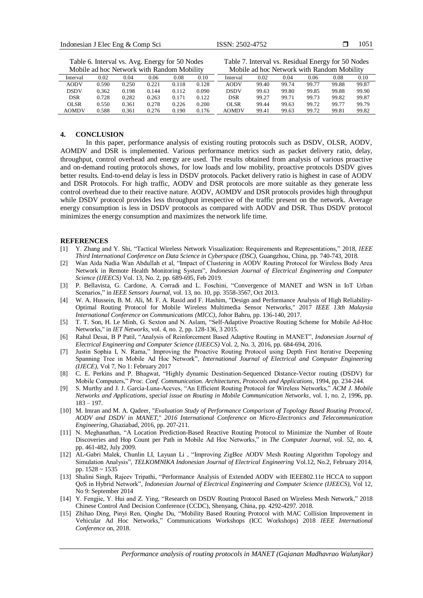| Mobile ad hoc Network with Random Mobility |       |       |       |       |       |          | Mobile ad hoc Network with Random Mobility |       |       |       |       |
|--------------------------------------------|-------|-------|-------|-------|-------|----------|--------------------------------------------|-------|-------|-------|-------|
| Interval                                   | 0.02  | 0.04  | 0.06  | 0.08  | 0.10  | Interval | 0.02                                       | 0.04  | 0.06  | 0.08  | 0.10  |
| <b>AODV</b>                                | 0.590 | 0.250 | 0.221 | 0.118 | 0.128 | AODV     | 99.40                                      | 99.74 | 99.77 | 99.88 | 99.87 |
| <b>DSDV</b>                                | 0.362 | 0.198 | 0.144 | 0.112 | 0.090 | DSDV     | 99.63                                      | 99.80 | 99.85 | 99.88 | 99.90 |
| <b>DSR</b>                                 | 0.728 | 0.282 | 0.263 | 0.171 | 0.122 | DSR      | 99.27                                      | 99.71 | 99.73 | 99.82 | 99.87 |
| <b>OLSR</b>                                | 0.550 | 0.361 | 0.278 | 0.226 | 0.200 | OLSR     | 99.44                                      | 99.63 | 99.72 | 99.77 | 99.79 |
| <b>AOMDV</b>                               | 0.588 | 0.361 | 0.276 | 0.190 | 0.176 | AOMDV    | 99.41                                      | 99.63 | 99.72 | 99.81 | 99.82 |

Table 6. Interval vs. Avg. Energy for 50 Nodes

Table 7. Interval vs. Residual Energy for 50 Nodes

#### **4. CONCLUSION**

In this paper, performance analysis of existing routing protocols such as DSDV, OLSR, AODV, AOMDV and DSR is implemented. Various performance metrics such as packet delivery ratio, delay, throughput, control overhead and energy are used. The results obtained from analysis of various proactive and on-demand routing protocols shows, for low loads and low mobility, proactive protocols DSDV gives better results. End-to-end delay is less in DSDV protocols. Packet delivery ratio is highest in case of AODV and DSR Protocols. For high traffic, AODV and DSR protocols are more suitable as they generate less control overhead due to their reactive nature. AODV, AOMDV and DSR protocols provides high throughput while DSDV protocol provides less throughput irrespective of the traffic present on the network. Average energy consumption is less in DSDV protocols as compared with AODV and DSR. Thus DSDV protocol minimizes the energy consumption and maximizes the network life time.

#### **REFERENCES**

- [1] Y. Zhang and Y. Shi, "Tactical Wireless Network Visualization: Requirements and Representations," 2018, *IEEE Third International Conference on Data Science in Cyberspace (DSC)*, Guangzhou, China, pp. 740-743, 2018.
- [2] Wan Aida Nadia Wan Abdullah et al, "Impact of Clustering in AODV Routing Protocol for Wireless Body Area Network in Remote Health Monitoring System", *Indonesian Journal of Electrical Engineering and Computer Science (IJEECS)* Vol. 13, No. 2, pp. 689-695, Feb 2019.
- [3] P. Bellavista, G. Cardone, A. Corradi and L. Foschini, "Convergence of MANET and WSN in IoT Urban Scenarios," in *IEEE Sensors Journal*, vol. 13, no. 10, pp. 3558-3567, Oct 2013.
- [4] W. A. Hussein, B. M. Ali, M. F. A. Rasid and F. Hashim, "Design and Performance Analysis of High Reliability-Optimal Routing Protocol for Mobile Wireless Multimedia Sensor Networks," 2017 *IEEE 13th Malaysia International Conference on Communications (MICC)*, Johor Bahru, pp. 136-140, 2017.
- [5] T. T. Son, H. Le Minh, G. Sexton and N. Aslam, "Self-Adaptive Proactive Routing Scheme for Mobile Ad-Hoc Networks," in *IET Networks*, vol. 4, no. 2, pp. 128-136, 3 2015.
- [6] Rahul Desai, B P Patil, "Analysis of Reinforcement Based Adaptive Routing in MANET", *Indonesian Journal of Electrical Engineering and Computer Science (IJEECS)* Vol. 2, No. 3, 2016, pp. 684-694, 2016.
- [7] Justin Sophia I, N. Rama," Improving the Proactive Routing Protocol using Depth First Iterative Deepening Spanning Tree in Mobile Ad Hoc Network", *International Journal of Electrical and Computer Engineering (IJECE)*, Vol 7, No 1: February 2017
- [8] C. E. Perkins and P. Bhagwat, "Highly dynamic Destination-Sequenced Distance-Vector routing (DSDV) for Mobile Computers," *Proc. Conf. Communication. Architectures, Protocols and Applications*, 1994, pp. 234-244.
- [9] S. Murthy and J. J. Garcia-Luna-Aceves, "An Efficient Routing Protocol for Wireless Networks," *ACM J. Mobile Networks and Applications, special issue on Routing in Mobile Communication Networks*, vol. 1, no. 2, 1996, pp. 183 – 197.
- [10] M. Imran and M. A. Qadeer, "*Evaluation Study of Performance Comparison of Topology Based Routing Protocol, AODV and DSDV in MANET,*" *2016 International Conference on Micro-Electronics and Telecommunication Engineering*, Ghaziabad, 2016, pp. 207-211.
- [11] N. Meghanathan, "A Location Prediction-Based Reactive Routing Protocol to Minimize the Number of Route Discoveries and Hop Count per Path in Mobile Ad Hoc Networks," in *The Computer Journal*, vol. 52, no. 4, pp. 461-482, July 2009.
- [12] AL-Gabri Malek, Chunlin LI, Layuan Li , "Improving ZigBee AODV Mesh Routing Algorithm Topology and Simulation Analysis", *TELKOMNIKA Indonesian Journal of Electrical Engineering* Vol.12, No.2, February 2014, pp. 1528 ~ 1535
- [13] Shalini Singh, Rajeev Tripathi, "Performance Analysis of Extended AODV with IEEE802.11e HCCA to support QoS in Hybrid Network", *Indonesian Journal of Electrical Engineering and Computer Science (IJEECS)*, Vol 12, No 9: September 2014
- [14] Y. Fengjie, Y. Hui and Z. Ying, "Research on DSDV Routing Protocol Based on Wireless Mesh Network," 2018 Chinese Control And Decision Conference (CCDC), Shenyang, China, pp. 4292-4297. 2018.
- [15] Zhihao Ding, Pinyi Ren, Qinghe Du, "Mobility Based Routing Protocol with MAC Collision Improvement in Vehicular Ad Hoc Networks," Communications Workshops (ICC Workshops) 2018 *IEEE International Conference* on, 2018.